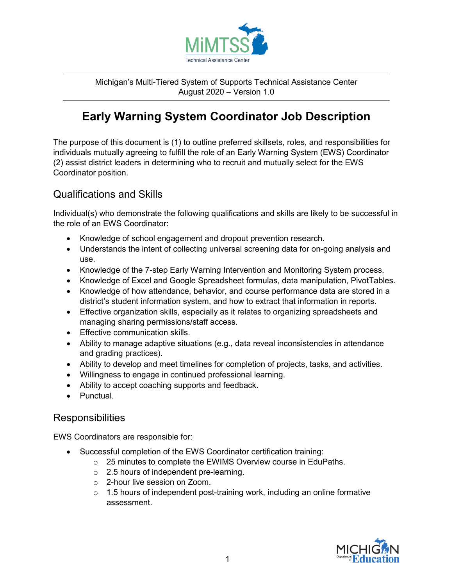

Michigan's Multi-Tiered System of Supports Technical Assistance Center August 2020 – Version 1.0

# **Early Warning System Coordinator Job Description**

The purpose of this document is (1) to outline preferred skillsets, roles, and responsibilities for individuals mutually agreeing to fulfill the role of an Early Warning System (EWS) Coordinator (2) assist district leaders in determining who to recruit and mutually select for the EWS Coordinator position.

## Qualifications and Skills

Individual(s) who demonstrate the following qualifications and skills are likely to be successful in the role of an EWS Coordinator:

- Knowledge of school engagement and dropout prevention research.
- Understands the intent of collecting universal screening data for on-going analysis and use.
- Knowledge of the 7-step Early Warning Intervention and Monitoring System process.
- Knowledge of Excel and Google Spreadsheet formulas, data manipulation, PivotTables.
- Knowledge of how attendance, behavior, and course performance data are stored in a district's student information system, and how to extract that information in reports.
- Effective organization skills, especially as it relates to organizing spreadsheets and managing sharing permissions/staff access.
- Effective communication skills.
- Ability to manage adaptive situations (e.g., data reveal inconsistencies in attendance and grading practices).
- Ability to develop and meet timelines for completion of projects, tasks, and activities.
- Willingness to engage in continued professional learning.
- Ability to accept coaching supports and feedback.
- Punctual.

#### Responsibilities

EWS Coordinators are responsible for:

- Successful completion of the EWS Coordinator certification training:
	- o 25 minutes to complete the EWIMS Overview course in EduPaths.
	- o 2.5 hours of independent pre-learning.
	- o 2-hour live session on Zoom.
	- $\circ$  1.5 hours of independent post-training work, including an online formative assessment.

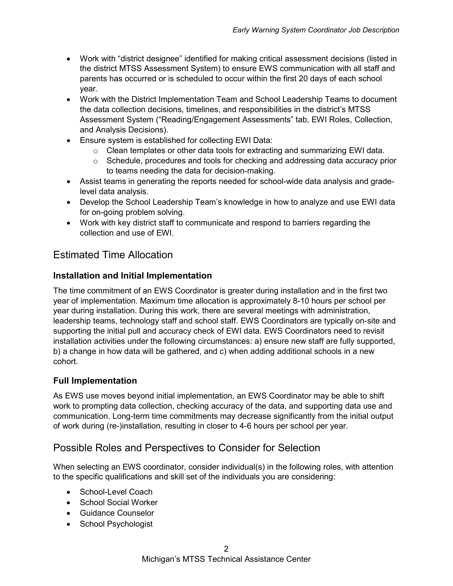- Work with "district designee" identified for making critical assessment decisions (listed in the district MTSS Assessment System) to ensure EWS communication with all staff and parents has occurred or is scheduled to occur within the first 20 days of each school year.
- Work with the District Implementation Team and School Leadership Teams to document the data collection decisions, timelines, and responsibilities in the district's MTSS Assessment System ("Reading/Engagement Assessments" tab, EWI Roles, Collection, and Analysis Decisions).
- Ensure system is established for collecting EWI Data:
	- o Clean templates or other data tools for extracting and summarizing EWI data.
	- $\circ$  Schedule, procedures and tools for checking and addressing data accuracy prior to teams needing the data for decision-making.
- Assist teams in generating the reports needed for school-wide data analysis and gradelevel data analysis.
- Develop the School Leadership Team's knowledge in how to analyze and use EWI data for on-going problem solving.
- Work with key district staff to communicate and respond to barriers regarding the collection and use of EWI.

# Estimated Time Allocation

#### **Installation and Initial Implementation**

The time commitment of an EWS Coordinator is greater during installation and in the first two year of implementation. Maximum time allocation is approximately 8-10 hours per school per year during installation. During this work, there are several meetings with administration, leadership teams, technology staff and school staff. EWS Coordinators are typically on-site and supporting the initial pull and accuracy check of EWI data. EWS Coordinators need to revisit installation activities under the following circumstances: a) ensure new staff are fully supported, b) a change in how data will be gathered, and c) when adding additional schools in a new cohort.

#### **Full Implementation**

As EWS use moves beyond initial implementation, an EWS Coordinator may be able to shift work to prompting data collection, checking accuracy of the data, and supporting data use and communication. Long-term time commitments may decrease significantly from the initial output of work during (re-)installation, resulting in closer to 4-6 hours per school per year.

## Possible Roles and Perspectives to Consider for Selection

When selecting an EWS coordinator, consider individual(s) in the following roles, with attention to the specific qualifications and skill set of the individuals you are considering:

- School-Level Coach
- School Social Worker
- Guidance Counselor
- School Psychologist